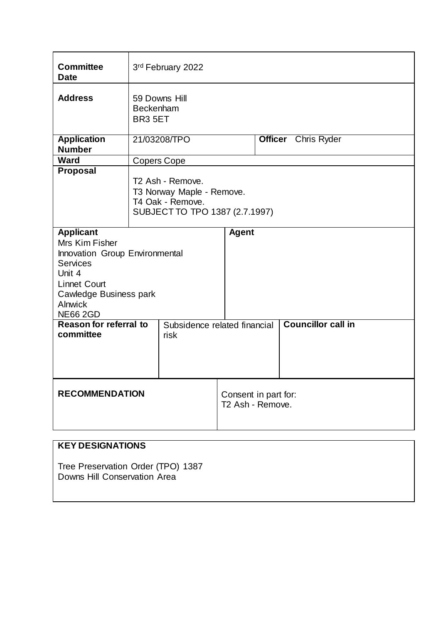| <b>Committee</b><br>3rd February 2022<br><b>Date</b><br><b>Address</b><br>59 Downs Hill<br>Beckenham<br>BR <sub>3</sub> 5ET<br><b>Application</b><br><b>Officer</b> Chris Ryder<br>21/03208/TPO<br><b>Number</b><br><b>Ward</b><br>Copers Cope<br>Proposal<br>T <sub>2</sub> Ash - Remove.<br>T3 Norway Maple - Remove.<br>T4 Oak - Remove.<br>SUBJECT TO TPO 1387 (2.7.1997)<br><b>Applicant</b><br><b>Agent</b><br>Mrs Kim Fisher<br>Innovation Group Environmental<br><b>Services</b><br>Unit 4<br><b>Linnet Court</b><br>Cawledge Business park<br><b>Alnwick</b><br><b>NE66 2GD</b><br><b>Councillor call in</b><br><b>Reason for referral to</b><br>Subsidence related financial<br>committee<br>risk |  |  |  |  |  |  |  |
|-------------------------------------------------------------------------------------------------------------------------------------------------------------------------------------------------------------------------------------------------------------------------------------------------------------------------------------------------------------------------------------------------------------------------------------------------------------------------------------------------------------------------------------------------------------------------------------------------------------------------------------------------------------------------------------------------------------|--|--|--|--|--|--|--|
|                                                                                                                                                                                                                                                                                                                                                                                                                                                                                                                                                                                                                                                                                                             |  |  |  |  |  |  |  |
|                                                                                                                                                                                                                                                                                                                                                                                                                                                                                                                                                                                                                                                                                                             |  |  |  |  |  |  |  |
|                                                                                                                                                                                                                                                                                                                                                                                                                                                                                                                                                                                                                                                                                                             |  |  |  |  |  |  |  |
|                                                                                                                                                                                                                                                                                                                                                                                                                                                                                                                                                                                                                                                                                                             |  |  |  |  |  |  |  |
|                                                                                                                                                                                                                                                                                                                                                                                                                                                                                                                                                                                                                                                                                                             |  |  |  |  |  |  |  |
|                                                                                                                                                                                                                                                                                                                                                                                                                                                                                                                                                                                                                                                                                                             |  |  |  |  |  |  |  |
|                                                                                                                                                                                                                                                                                                                                                                                                                                                                                                                                                                                                                                                                                                             |  |  |  |  |  |  |  |
| <b>RECOMMENDATION</b><br>Consent in part for:<br>T2 Ash - Remove.                                                                                                                                                                                                                                                                                                                                                                                                                                                                                                                                                                                                                                           |  |  |  |  |  |  |  |

# **KEY DESIGNATIONS**

Tree Preservation Order (TPO) 1387 Downs Hill Conservation Area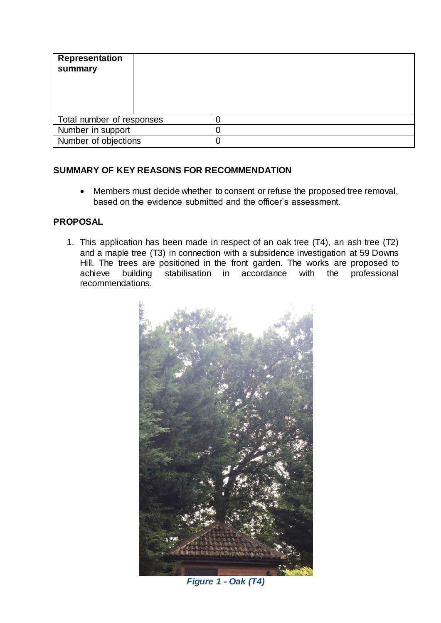| <b>Representation</b><br>summary |  |
|----------------------------------|--|
| Total number of responses        |  |
| Number in support                |  |
| Number of objections             |  |

## **SUMMARY OF KEY REASONS FOR RECOMMENDATION**

 Members must decide whether to consent or refuse the proposed tree removal, based on the evidence submitted and the officer's assessment.

## **PROPOSAL**

1. This application has been made in respect of an oak tree (T4), an ash tree (T2) and a maple tree (T3) in connection with a subsidence investigation at 59 Downs Hill. The trees are positioned in the front garden. The works are proposed to achieve building stabilisation in accordance with the professional stabilisation in accordance with the recommendations.



*Figure 1 - Oak (T4)*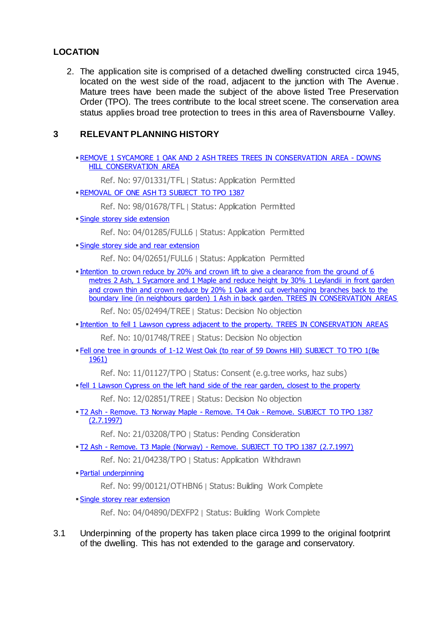## **LOCATION**

2. The application site is comprised of a detached dwelling constructed circa 1945, located on the west side of the road, adjacent to the junction with The Avenue. Mature trees have been made the subject of the above listed Tree Preservation Order (TPO). The trees contribute to the local street scene. The conservation area status applies broad tree protection to trees in this area of Ravensbourne Valley.

#### **3 RELEVANT PLANNING HISTORY**

 [REMOVE 1 SYCAMORE 1 OAK AND 2 ASH TREES TREES IN CONSERVATION AREA -](https://searchapplications.bromley.gov.uk/online-applications/applicationDetails.do?previousCaseType=Property&keyVal=9701331TFL&previousCaseNumber=003CZ1BTBU000&previousCaseUprn=100020375986&activeTab=summary&previousKeyVal=000O8XBTLI000) DOWNS [HILL CONSERVATION AREA](https://searchapplications.bromley.gov.uk/online-applications/applicationDetails.do?previousCaseType=Property&keyVal=9701331TFL&previousCaseNumber=003CZ1BTBU000&previousCaseUprn=100020375986&activeTab=summary&previousKeyVal=000O8XBTLI000)

Ref. No: 97/01331/TFL | Status: Application Permitted

- [REMOVAL OF ONE ASH T3 SUBJECT TO TPO 1387](https://searchapplications.bromley.gov.uk/online-applications/applicationDetails.do?previousCaseType=Property&keyVal=9801678TFL&previousCaseNumber=003CZ1BTBU000&previousCaseUprn=100020375986&activeTab=summary&previousKeyVal=000O8XBTLI000)
	- Ref. No: 98/01678/TFL | Status: Application Permitted
- [Single storey side extension](https://searchapplications.bromley.gov.uk/online-applications/applicationDetails.do?previousCaseType=Property&keyVal=HW47YLBTDB000&previousCaseNumber=003CZ1BTBU000&previousCaseUprn=100020375986&activeTab=summary&previousKeyVal=000O8XBTLI000)

Ref. No: 04/01285/FULL6 | Status: Application Permitted

[Single storey side and rear extension](https://searchapplications.bromley.gov.uk/online-applications/applicationDetails.do?previousCaseType=Property&keyVal=I0XTRVBTIB000&previousCaseNumber=003CZ1BTBU000&previousCaseUprn=100020375986&activeTab=summary&previousKeyVal=000O8XBTLI000)

Ref. No: 04/02651/FULL6 | Status: Application Permitted

Intention to crown reduce by 20% and crown lift to give a clearance from the ground of 6 [metres 2 Ash, 1 Sycamore and 1 Maple and reduce height by 30% 1 Leylandii in front garden](https://searchapplications.bromley.gov.uk/online-applications/applicationDetails.do?previousCaseType=Property&keyVal=IJTKA7BTJC000&previousCaseNumber=003CZ1BTBU000&previousCaseUprn=100020375986&activeTab=summary&previousKeyVal=000O8XBTLI000)  [and crown thin and crown reduce by 20% 1 Oak and cut overhanging branches back to the](https://searchapplications.bromley.gov.uk/online-applications/applicationDetails.do?previousCaseType=Property&keyVal=IJTKA7BTJC000&previousCaseNumber=003CZ1BTBU000&previousCaseUprn=100020375986&activeTab=summary&previousKeyVal=000O8XBTLI000)  [boundary line \(in neighbours garden\) 1 Ash in back garden. TREES IN CONSERVATION AREAS](https://searchapplications.bromley.gov.uk/online-applications/applicationDetails.do?previousCaseType=Property&keyVal=IJTKA7BTJC000&previousCaseNumber=003CZ1BTBU000&previousCaseUprn=100020375986&activeTab=summary&previousKeyVal=000O8XBTLI000)

Ref. No: 05/02494/TREE | Status: Decision No objection

**[Intention to fell 1 Lawson cypress adjacent to the property. TREES IN CONSERVATION AREAS](https://searchapplications.bromley.gov.uk/online-applications/applicationDetails.do?previousCaseType=Property&keyVal=L4PUUWBT0JM00&previousCaseNumber=003CZ1BTBU000&previousCaseUprn=100020375986&activeTab=summary&previousKeyVal=000O8XBTLI000)** 

Ref. No: 10/01748/TREE | Status: Decision No objection

 [Fell one tree in grounds of 1-12 West Oak \(to rear of 59 Downs Hill\) SUBJECT TO TPO 1\(Be](https://searchapplications.bromley.gov.uk/online-applications/applicationDetails.do?previousCaseType=Property&keyVal=LJBJMIBTJX000&previousCaseNumber=003CZ1BTBU000&previousCaseUprn=100020375986&activeTab=summary&previousKeyVal=000O8XBTLI000)  [1961\)](https://searchapplications.bromley.gov.uk/online-applications/applicationDetails.do?previousCaseType=Property&keyVal=LJBJMIBTJX000&previousCaseNumber=003CZ1BTBU000&previousCaseUprn=100020375986&activeTab=summary&previousKeyVal=000O8XBTLI000)

Ref. No: 11/01127/TPO | Status: Consent (e.g.tree works, haz subs)

**Fiell 1 Lawson Cypress on the left hand side of the rear garden, closest to the property** 

Ref. No: 12/02851/TREE | Status: Decision No objection

 T2 Ash - Remove. T3 Norway Maple - Remove. T4 Oak - [Remove. SUBJECT TO TPO 1387](https://searchapplications.bromley.gov.uk/online-applications/applicationDetails.do?previousCaseType=Property&keyVal=QWH8R3BTHFI00&previousCaseNumber=003CZ1BTBU000&previousCaseUprn=100020375986&activeTab=summary&previousKeyVal=000O8XBTLI000)  [\(2.7.1997\)](https://searchapplications.bromley.gov.uk/online-applications/applicationDetails.do?previousCaseType=Property&keyVal=QWH8R3BTHFI00&previousCaseNumber=003CZ1BTBU000&previousCaseUprn=100020375986&activeTab=summary&previousKeyVal=000O8XBTLI000)

Ref. No: 21/03208/TPO | Status: Pending Consideration

- **T2 Ash Remove. T3 Maple (Norway) [Remove. SUBJECT TO TPO 1387 \(2.7.1997\)](https://searchapplications.bromley.gov.uk/online-applications/applicationDetails.do?previousCaseType=Property&keyVal=QZVGQCBTGDJ00&previousCaseNumber=003CZ1BTBU000&previousCaseUprn=100020375986&activeTab=summary&previousKeyVal=000O8XBTLI000)** 
	- Ref. No: 21/04238/TPO | Status: Application Withdrawn
- [Partial underpinning](https://searchapplications.bromley.gov.uk/online-applications/buildingControlDetails.do?previousCaseType=Property&keyVal=9900121OTHBN6&previousCaseNumber=003CZ1BTBU000&previousCaseUprn=100020375986&activeTab=summary&previousKeyVal=000O8XBTLI000)

Ref. No: 99/00121/OTHBN6 | Status: Building Work Complete

[Single storey rear extension](https://searchapplications.bromley.gov.uk/online-applications/buildingControlDetails.do?previousCaseType=Property&keyVal=HYMUMFBT60000&previousCaseNumber=003CZ1BTBU000&previousCaseUprn=100020375986&activeTab=summary&previousKeyVal=000O8XBTLI000)

Ref. No: 04/04890/DEXFP2 | Status: Building Work Complete

3.1 Underpinning of the property has taken place circa 1999 to the original footprint of the dwelling. This has not extended to the garage and conservatory.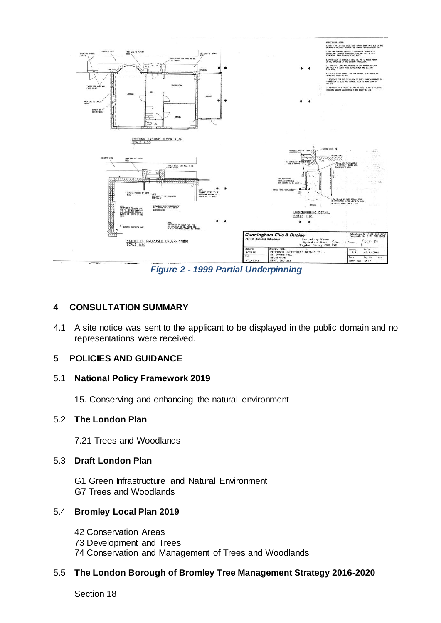

*Figure 2 - 1999 Partial Underpinning*

### **4 CONSULTATION SUMMARY**

4.1 A site notice was sent to the applicant to be displayed in the public domain and no representations were received.

#### **5 POLICIES AND GUIDANCE**

#### 5.1 **National Policy Framework 2019**

15. Conserving and enhancing the natural environment

#### 5.2 **The London Plan**

7.21 Trees and Woodlands

#### 5.3 **Draft London Plan**

G1 Green Infrastructure and Natural Environment G7 Trees and Woodlands

#### 5.4 **Bromley Local Plan 2019**

- 42 Conservation Areas
- 73 Development and Trees
- 74 Conservation and Management of Trees and Woodlands

#### 5.5 **The London Borough of Bromley Tree Management Strategy 2016-2020**

Section 18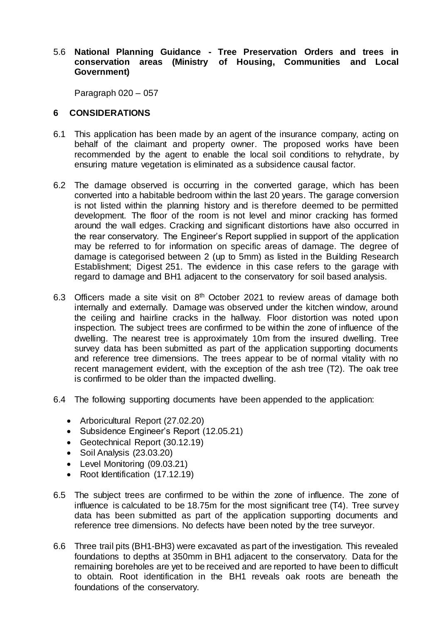#### 5.6 **National Planning Guidance - Tree Preservation Orders and trees in conservation areas (Ministry of Housing, Communities and Local Government)**

Paragraph 020 – 057

### **6 CONSIDERATIONS**

- 6.1 This application has been made by an agent of the insurance company, acting on behalf of the claimant and property owner. The proposed works have been recommended by the agent to enable the local soil conditions to rehydrate, by ensuring mature vegetation is eliminated as a subsidence causal factor.
- 6.2 The damage observed is occurring in the converted garage, which has been converted into a habitable bedroom within the last 20 years. The garage conversion is not listed within the planning history and is therefore deemed to be permitted development. The floor of the room is not level and minor cracking has formed around the wall edges. Cracking and significant distortions have also occurred in the rear conservatory. The Engineer's Report supplied in support of the application may be referred to for information on specific areas of damage. The degree of damage is categorised between 2 (up to 5mm) as listed in the Building Research Establishment; Digest 251. The evidence in this case refers to the garage with regard to damage and BH1 adjacent to the conservatory for soil based analysis.
- 6.3 Officers made a site visit on 8th October 2021 to review areas of damage both internally and externally. Damage was observed under the kitchen window, around the ceiling and hairline cracks in the hallway. Floor distortion was noted upon inspection. The subject trees are confirmed to be within the zone of influence of the dwelling. The nearest tree is approximately 10m from the insured dwelling. Tree survey data has been submitted as part of the application supporting documents and reference tree dimensions. The trees appear to be of normal vitality with no recent management evident, with the exception of the ash tree (T2). The oak tree is confirmed to be older than the impacted dwelling.
- 6.4 The following supporting documents have been appended to the application:
	- Arboricultural Report (27.02.20)
	- Subsidence Engineer's Report (12.05.21)
	- Geotechnical Report (30.12.19)
	- Soil Analysis (23.03.20)
	- Level Monitoring (09.03.21)
	- Root Identification (17.12.19)
- 6.5 The subject trees are confirmed to be within the zone of influence. The zone of influence is calculated to be 18.75m for the most significant tree (T4). Tree survey data has been submitted as part of the application supporting documents and reference tree dimensions. No defects have been noted by the tree surveyor.
- 6.6 Three trail pits (BH1-BH3) were excavated as part of the investigation. This revealed foundations to depths at 350mm in BH1 adjacent to the conservatory. Data for the remaining boreholes are yet to be received and are reported to have been to difficult to obtain. Root identification in the BH1 reveals oak roots are beneath the foundations of the conservatory.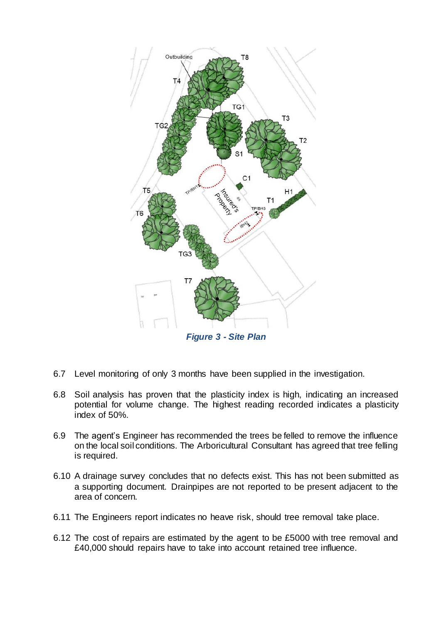

- 6.7 Level monitoring of only 3 months have been supplied in the investigation.
- 6.8 Soil analysis has proven that the plasticity index is high, indicating an increased potential for volume change. The highest reading recorded indicates a plasticity index of 50%.
- 6.9 The agent's Engineer has recommended the trees be felled to remove the influence on the local soil conditions. The Arboricultural Consultant has agreed that tree felling is required.
- 6.10 A drainage survey concludes that no defects exist. This has not been submitted as a supporting document. Drainpipes are not reported to be present adjacent to the area of concern.
- 6.11 The Engineers report indicates no heave risk, should tree removal take place.
- 6.12 The cost of repairs are estimated by the agent to be £5000 with tree removal and £40,000 should repairs have to take into account retained tree influence.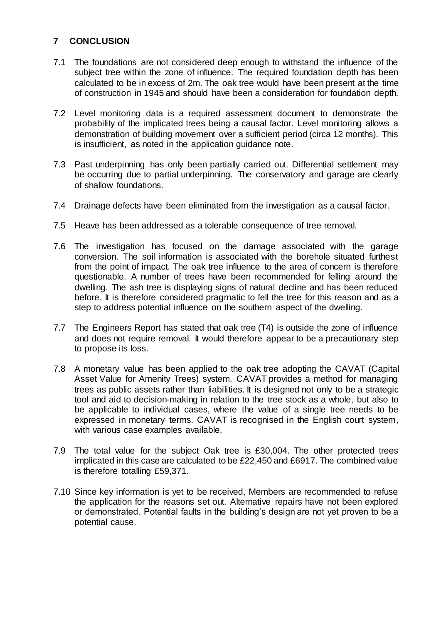# **7 CONCLUSION**

- 7.1 The foundations are not considered deep enough to withstand the influence of the subject tree within the zone of influence. The required foundation depth has been calculated to be in excess of 2m. The oak tree would have been present at the time of construction in 1945 and should have been a consideration for foundation depth.
- 7.2 Level monitoring data is a required assessment document to demonstrate the probability of the implicated trees being a causal factor. Level monitoring allows a demonstration of building movement over a sufficient period (circa 12 months). This is insufficient, as noted in the application guidance note.
- 7.3 Past underpinning has only been partially carried out. Differential settlement may be occurring due to partial underpinning. The conservatory and garage are clearly of shallow foundations.
- 7.4 Drainage defects have been eliminated from the investigation as a causal factor.
- 7.5 Heave has been addressed as a tolerable consequence of tree removal.
- 7.6 The investigation has focused on the damage associated with the garage conversion. The soil information is associated with the borehole situated furthest from the point of impact. The oak tree influence to the area of concern is therefore questionable. A number of trees have been recommended for felling around the dwelling. The ash tree is displaying signs of natural decline and has been reduced before. It is therefore considered pragmatic to fell the tree for this reason and as a step to address potential influence on the southern aspect of the dwelling.
- 7.7 The Engineers Report has stated that oak tree (T4) is outside the zone of influence and does not require removal. It would therefore appear to be a precautionary step to propose its loss.
- 7.8 A monetary value has been applied to the oak tree adopting the CAVAT (Capital Asset Value for Amenity Trees) system. CAVAT provides a method for managing trees as public assets rather than liabilities. It is designed not only to be a strategic tool and aid to decision-making in relation to the tree stock as a whole, but also to be applicable to individual cases, where the value of a single tree needs to be expressed in monetary terms. CAVAT is recognised in the English court system, with various case examples available.
- 7.9 The total value for the subject Oak tree is £30,004. The other protected trees implicated in this case are calculated to be £22,450 and £6917. The combined value is therefore totalling £59,371.
- 7.10 Since key information is yet to be received, Members are recommended to refuse the application for the reasons set out. Alternative repairs have not been explored or demonstrated. Potential faults in the building's design are not yet proven to be a potential cause.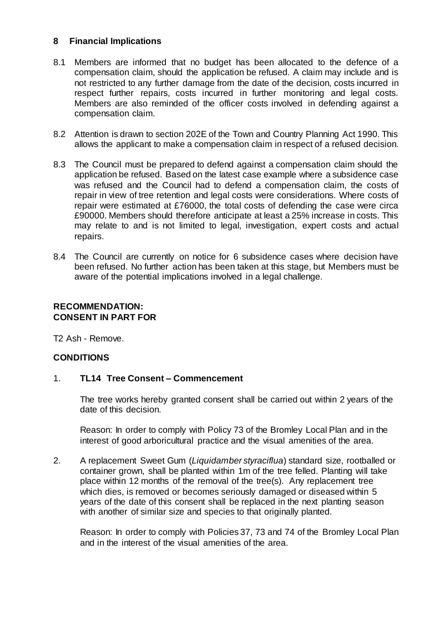### **8 Financial Implications**

- 8.1 Members are informed that no budget has been allocated to the defence of a compensation claim, should the application be refused. A claim may include and is not restricted to any further damage from the date of the decision, costs incurred in respect further repairs, costs incurred in further monitoring and legal costs. Members are also reminded of the officer costs involved in defending against a compensation claim.
- 8.2 Attention is drawn to section 202E of the Town and Country Planning Act 1990. This allows the applicant to make a compensation claim in respect of a refused decision.
- 8.3 The Council must be prepared to defend against a compensation claim should the application be refused. Based on the latest case example where a subsidence case was refused and the Council had to defend a compensation claim, the costs of repair in view of tree retention and legal costs were considerations. Where costs of repair were estimated at £76000, the total costs of defending the case were circa £90000. Members should therefore anticipate at least a 25% increase in costs. This may relate to and is not limited to legal, investigation, expert costs and actual repairs.
- 8.4 The Council are currently on notice for 6 subsidence cases where decision have been refused. No further action has been taken at this stage, but Members must be aware of the potential implications involved in a legal challenge.

## **RECOMMENDATION: CONSENT IN PART FOR**

T2 Ash - Remove.

## **CONDITIONS**

#### 1. **TL14 Tree Consent – Commencement**

The tree works hereby granted consent shall be carried out within 2 years of the date of this decision.

Reason: In order to comply with Policy 73 of the Bromley Local Plan and in the interest of good arboricultural practice and the visual amenities of the area.

2. A replacement Sweet Gum (*Liquidamber styraciflua*) standard size, rootballed or container grown, shall be planted within 1m of the tree felled. Planting will take place within 12 months of the removal of the tree(s). Any replacement tree which dies, is removed or becomes seriously damaged or diseased within 5 years of the date of this consent shall be replaced in the next planting season with another of similar size and species to that originally planted.

Reason: In order to comply with Policies 37, 73 and 74 of the Bromley Local Plan and in the interest of the visual amenities of the area.